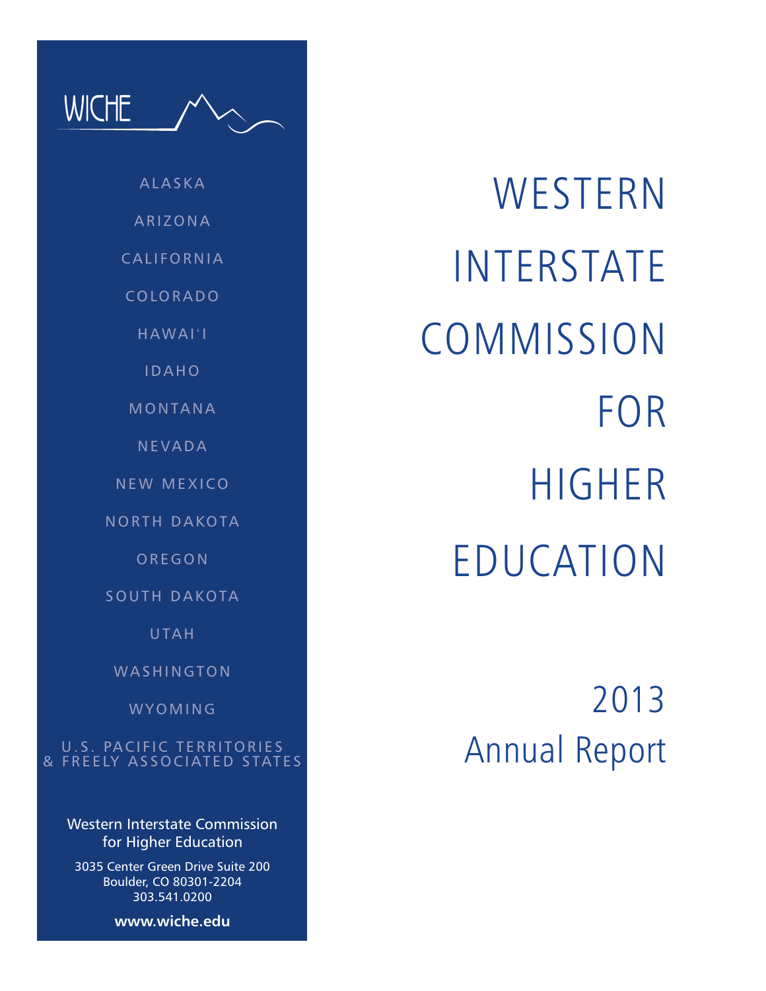ALASKA ARIZONA CALIFORNIA COLORADO HAWAI'I IDAHO MONTANA NEVADA NEW MEXICO

WICHE

NORTH DAKOTA

**OREGON** 

SOUTH DAKOTA

UTAH

WASHINGTON

WYOMING

U.S. PACIFIC TERRITORIES & FREELY ASSOCIATED STATES

> Western Interstate Commission for Higher Education

3035 Center Green Drive Suite 200 Boulder, CO 80301-2204 303.541.0200

**www.wiche.edu**

**WESTERN** INTERSTATE **COMMISSION** FOR HIGHER EDUCATION

> 2013 Annual Report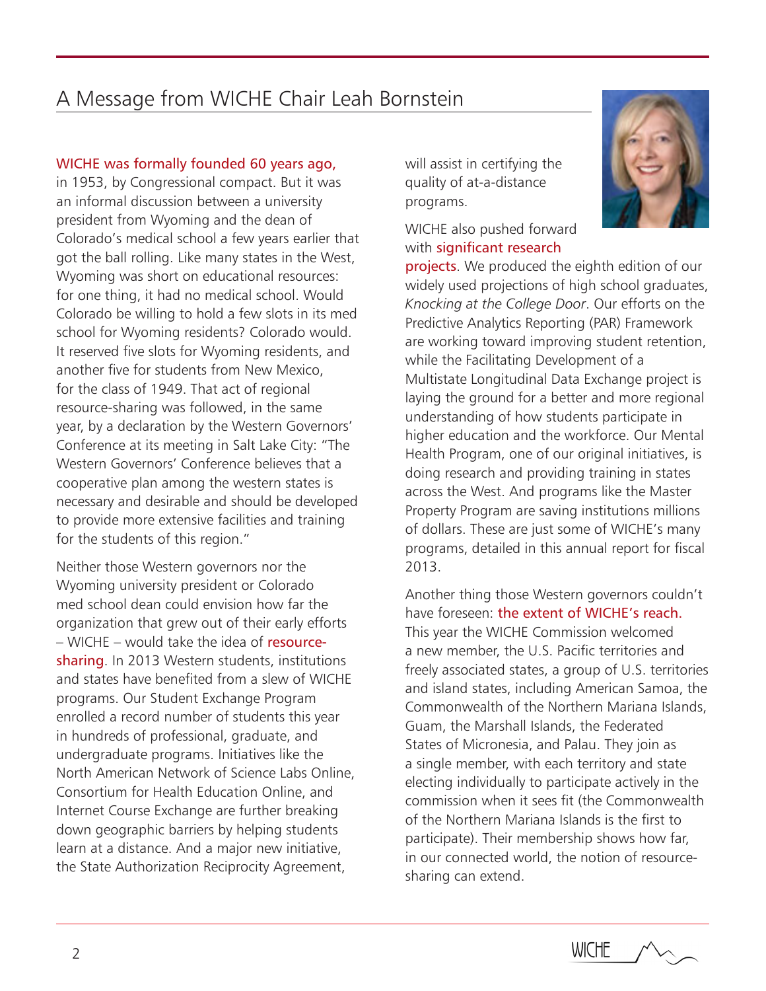# A Message from WICHE Chair Leah Bornstein

### WICHE was formally founded 60 years ago,

in 1953, by Congressional compact. But it was an informal discussion between a university president from Wyoming and the dean of Colorado's medical school a few years earlier that got the ball rolling. Like many states in the West, Wyoming was short on educational resources: for one thing, it had no medical school. Would Colorado be willing to hold a few slots in its med school for Wyoming residents? Colorado would. It reserved five slots for Wyoming residents, and another five for students from New Mexico, for the class of 1949. That act of regional resource-sharing was followed, in the same year, by a declaration by the Western Governors' Conference at its meeting in Salt Lake City: "The Western Governors' Conference believes that a cooperative plan among the western states is necessary and desirable and should be developed to provide more extensive facilities and training for the students of this region."

Neither those Western governors nor the Wyoming university president or Colorado med school dean could envision how far the organization that grew out of their early efforts – WICHE – would take the idea of resourcesharing. In 2013 Western students, institutions and states have benefited from a slew of WICHE programs. Our Student Exchange Program enrolled a record number of students this year in hundreds of professional, graduate, and undergraduate programs. Initiatives like the North American Network of Science Labs Online, Consortium for Health Education Online, and Internet Course Exchange are further breaking down geographic barriers by helping students learn at a distance. And a major new initiative, the State Authorization Reciprocity Agreement,

will assist in certifying the quality of at-a-distance programs.

WICHE also pushed forward with significant research

projects. We produced the eighth edition of our widely used projections of high school graduates, *Knocking at the College Door*. Our efforts on the Predictive Analytics Reporting (PAR) Framework are working toward improving student retention, while the Facilitating Development of a Multistate Longitudinal Data Exchange project is laying the ground for a better and more regional understanding of how students participate in higher education and the workforce. Our Mental Health Program, one of our original initiatives, is doing research and providing training in states across the West. And programs like the Master Property Program are saving institutions millions of dollars. These are just some of WICHE's many programs, detailed in this annual report for fiscal 2013.

Another thing those Western governors couldn't have foreseen: the extent of WICHE's reach. This year the WICHE Commission welcomed a new member, the U.S. Pacific territories and freely associated states, a group of U.S. territories and island states, including American Samoa, the Commonwealth of the Northern Mariana Islands, Guam, the Marshall Islands, the Federated States of Micronesia, and Palau. They join as a single member, with each territory and state electing individually to participate actively in the commission when it sees fit (the Commonwealth of the Northern Mariana Islands is the first to participate). Their membership shows how far, in our connected world, the notion of resourcesharing can extend.



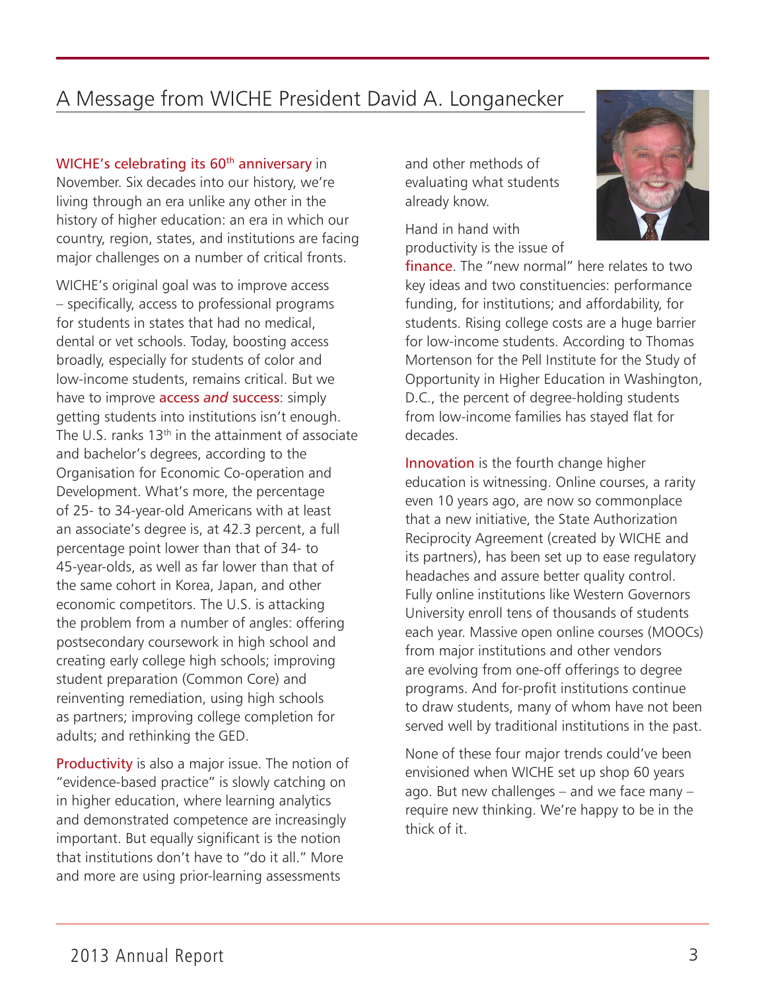# A Message from WICHE President David A. Longanecker

### WICHE's celebrating its 60<sup>th</sup> anniversary in

November. Six decades into our history, we're living through an era unlike any other in the history of higher education: an era in which our country, region, states, and institutions are facing major challenges on a number of critical fronts.

WICHE's original goal was to improve access – specifically, access to professional programs for students in states that had no medical, dental or vet schools. Today, boosting access broadly, especially for students of color and low-income students, remains critical. But we have to improve access *and* success: simply getting students into institutions isn't enough. The U.S. ranks 13<sup>th</sup> in the attainment of associate and bachelor's degrees, according to the Organisation for Economic Co-operation and Development. What's more, the percentage of 25- to 34-year-old Americans with at least an associate's degree is, at 42.3 percent, a full percentage point lower than that of 34- to 45-year-olds, as well as far lower than that of the same cohort in Korea, Japan, and other economic competitors. The U.S. is attacking the problem from a number of angles: offering postsecondary coursework in high school and creating early college high schools; improving student preparation (Common Core) and reinventing remediation, using high schools as partners; improving college completion for adults; and rethinking the GED.

Productivity is also a major issue. The notion of "evidence-based practice" is slowly catching on in higher education, where learning analytics and demonstrated competence are increasingly important. But equally significant is the notion that institutions don't have to "do it all." More and more are using prior-learning assessments

and other methods of evaluating what students already know.

Hand in hand with productivity is the issue of



finance. The "new normal" here relates to two key ideas and two constituencies: performance funding, for institutions; and affordability, for students. Rising college costs are a huge barrier for low-income students. According to Thomas Mortenson for the Pell Institute for the Study of Opportunity in Higher Education in Washington, D.C., the percent of degree-holding students from low-income families has stayed flat for decades.

Innovation is the fourth change higher education is witnessing. Online courses, a rarity even 10 years ago, are now so commonplace that a new initiative, the State Authorization Reciprocity Agreement (created by WICHE and its partners), has been set up to ease regulatory headaches and assure better quality control. Fully online institutions like Western Governors University enroll tens of thousands of students each year. Massive open online courses (MOOCs) from major institutions and other vendors are evolving from one-off offerings to degree programs. And for-profit institutions continue to draw students, many of whom have not been served well by traditional institutions in the past.

None of these four major trends could've been envisioned when WICHE set up shop 60 years ago. But new challenges – and we face many – require new thinking. We're happy to be in the thick of it.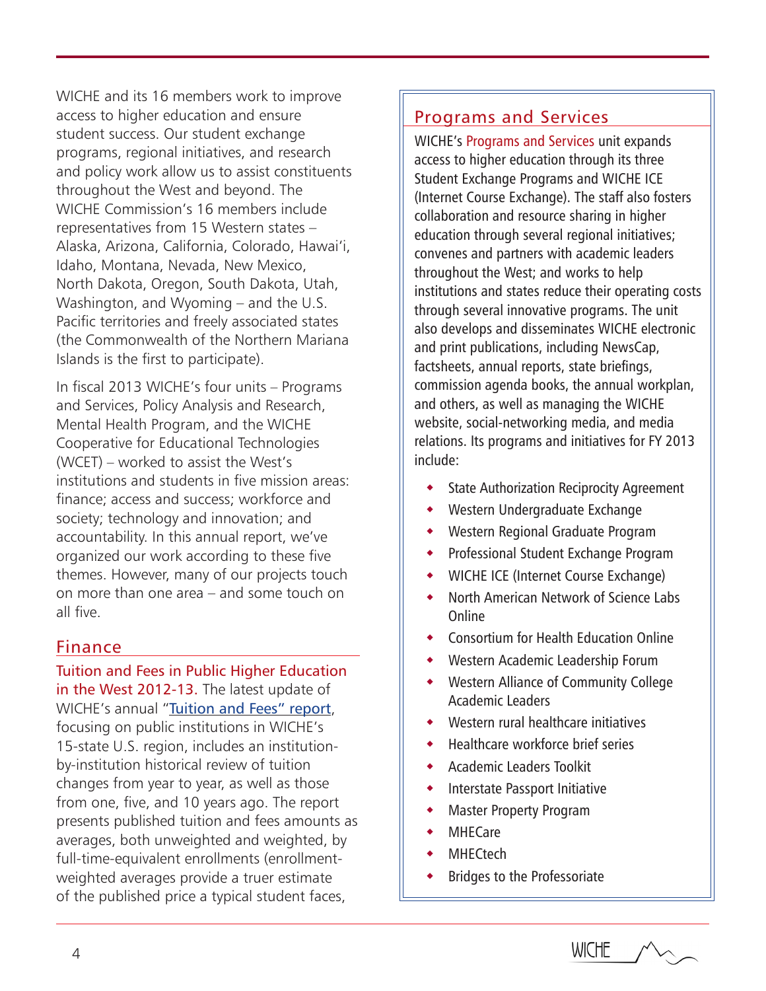WICHE and its 16 members work to improve access to higher education and ensure student success. Our student exchange programs, regional initiatives, and research and policy work allow us to assist constituents throughout the West and beyond. The WICHE Commission's 16 members include representatives from 15 Western states – Alaska, Arizona, California, Colorado, Hawai'i, Idaho, Montana, Nevada, New Mexico, North Dakota, Oregon, South Dakota, Utah, Washington, and Wyoming – and the U.S. Pacific territories and freely associated states (the Commonwealth of the Northern Mariana Islands is the first to participate).

In fiscal 2013 WICHE's four units – Programs and Services, Policy Analysis and Research, Mental Health Program, and the WICHE Cooperative for Educational Technologies (WCET) – worked to assist the West's institutions and students in five mission areas: finance; access and success; workforce and society; technology and innovation; and accountability. In this annual report, we've organized our work according to these five themes. However, many of our projects touch on more than one area – and some touch on all five.

### Finance

Tuition and Fees in Public Higher Education in the West 2012-13. The latest update of WICHE's annual "[Tuition and Fees" report](http://www.wiche.edu/pub/16527), focusing on public institutions in WICHE's 15-state U.S. region, includes an institutionby-institution historical review of tuition changes from year to year, as well as those from one, five, and 10 years ago. The report presents published tuition and fees amounts as averages, both unweighted and weighted, by full-time-equivalent enrollments (enrollmentweighted averages provide a truer estimate of the published price a typical student faces,

# Programs and Services

WICHE's Programs and Services unit expands access to higher education through its three Student Exchange Programs and WICHE ICE (Internet Course Exchange). The staff also fosters collaboration and resource sharing in higher education through several regional initiatives; convenes and partners with academic leaders throughout the West; and works to help institutions and states reduce their operating costs through several innovative programs. The unit also develops and disseminates WICHE electronic and print publications, including NewsCap, factsheets, annual reports, state briefings, commission agenda books, the annual workplan, and others, as well as managing the WICHE website, social-networking media, and media relations. Its programs and initiatives for FY 2013 include:

- State Authorization Reciprocity Agreement
- Western Undergraduate Exchange
- Western Regional Graduate Program
- Professional Student Exchange Program
- WICHE ICE (Internet Course Exchange)
- North American Network of Science Labs Online
- Consortium for Health Education Online
- Western Academic Leadership Forum
- Western Alliance of Community College Academic Leaders
- Western rural healthcare initiatives
- Healthcare workforce brief series
- Academic Leaders Toolkit
- **•** Interstate Passport Initiative
- Master Property Program
- MHECare
- **MHECtech**
- Bridges to the Professoriate

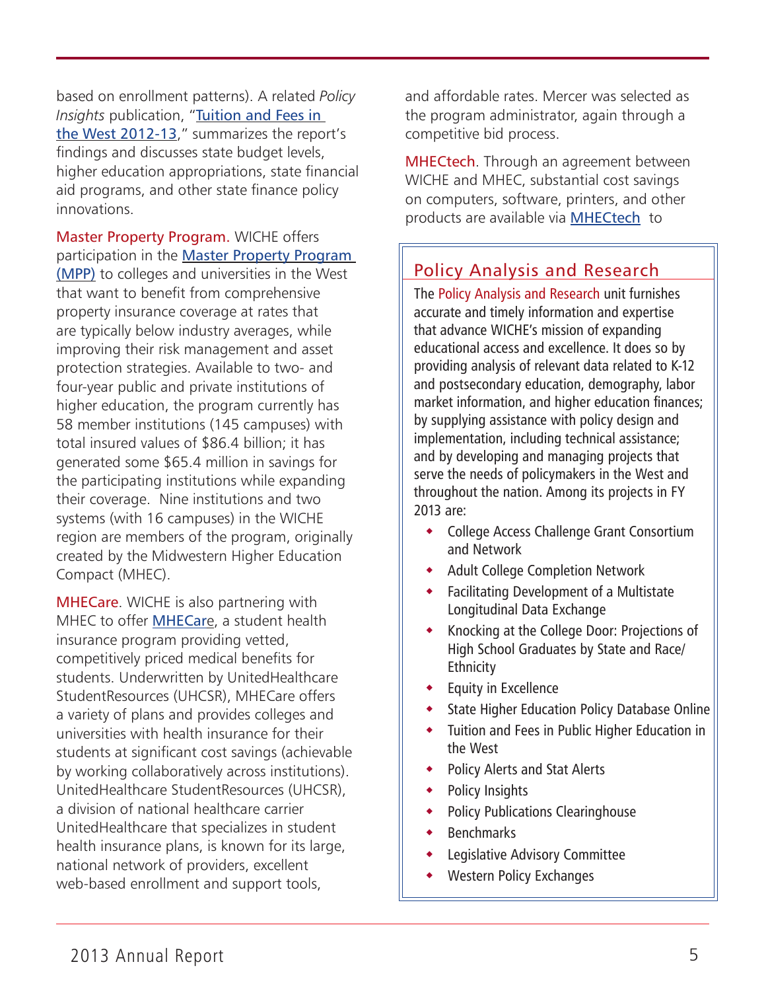based on enrollment patterns). A related *Policy Insights* publication, "[Tuition and Fees in](http://www.wiche.edu/info/publications/PI-TF12-13.pdf)  [the West 2012-13](http://www.wiche.edu/info/publications/PI-TF12-13.pdf)," summarizes the report's findings and discusses state budget levels, higher education appropriations, state financial aid programs, and other state finance policy innovations.

Master Property Program. WICHE offers participation in the [Master Property Program](http://www.wiche.edu/mpp)  [\(MPP\)](http://www.wiche.edu/mpp) to colleges and universities in the West that want to benefit from comprehensive property insurance coverage at rates that are typically below industry averages, while improving their risk management and asset protection strategies. Available to two- and four-year public and private institutions of higher education, the program currently has 58 member institutions (145 campuses) with total insured values of \$86.4 billion; it has generated some \$65.4 million in savings for the participating institutions while expanding their coverage. Nine institutions and two systems (with 16 campuses) in the WICHE region are members of the program, originally created by the Midwestern Higher Education Compact (MHEC).

[MHECare](http://www.wiche.edu/mhecare). WICHE is also partnering with MHEC to offer [MHECar](http://www.wiche.edu/mhecare)e, a student health insurance program providing vetted, competitively priced medical benefits for students. Underwritten by UnitedHealthcare StudentResources (UHCSR), MHECare offers a variety of plans and provides colleges and universities with health insurance for their students at significant cost savings (achievable by working collaboratively across institutions). UnitedHealthcare StudentResources (UHCSR), a division of national healthcare carrier UnitedHealthcare that specializes in student health insurance plans, is known for its large, national network of providers, excellent web-based enrollment and support tools,

and affordable rates. Mercer was selected as the program administrator, again through a competitive bid process.

[MHECt](http://www.wiche.edu/mhecare)ech. Through an agreement between WICHE and MHEC, substantial cost savings on computers, software, printers, and other products are available via [MHECtech](http://www.wiche.edu/costSavingPurchasing) to

# Policy Analysis and Research

The Policy Analysis and Research unit furnishes accurate and timely information and expertise that advance WICHE's mission of expanding educational access and excellence. It does so by providing analysis of relevant data related to K-12 and postsecondary education, demography, labor market information, and higher education finances; by supplying assistance with policy design and implementation, including technical assistance; and by developing and managing projects that serve the needs of policymakers in the West and throughout the nation. Among its projects in FY 2013 are:

- College Access Challenge Grant Consortium and Network
- Adult College Completion Network
- Facilitating Development of a Multistate Longitudinal Data Exchange
- Knocking at the College Door: Projections of High School Graduates by State and Race/ **Ethnicity**
- Equity in Excellence
- State Higher Education Policy Database Online
- Tuition and Fees in Public Higher Education in the West
- Policy Alerts and Stat Alerts
- Policy Insights
- Policy Publications Clearinghouse
- **Benchmarks**
- Legislative Advisory Committee
- Western Policy Exchanges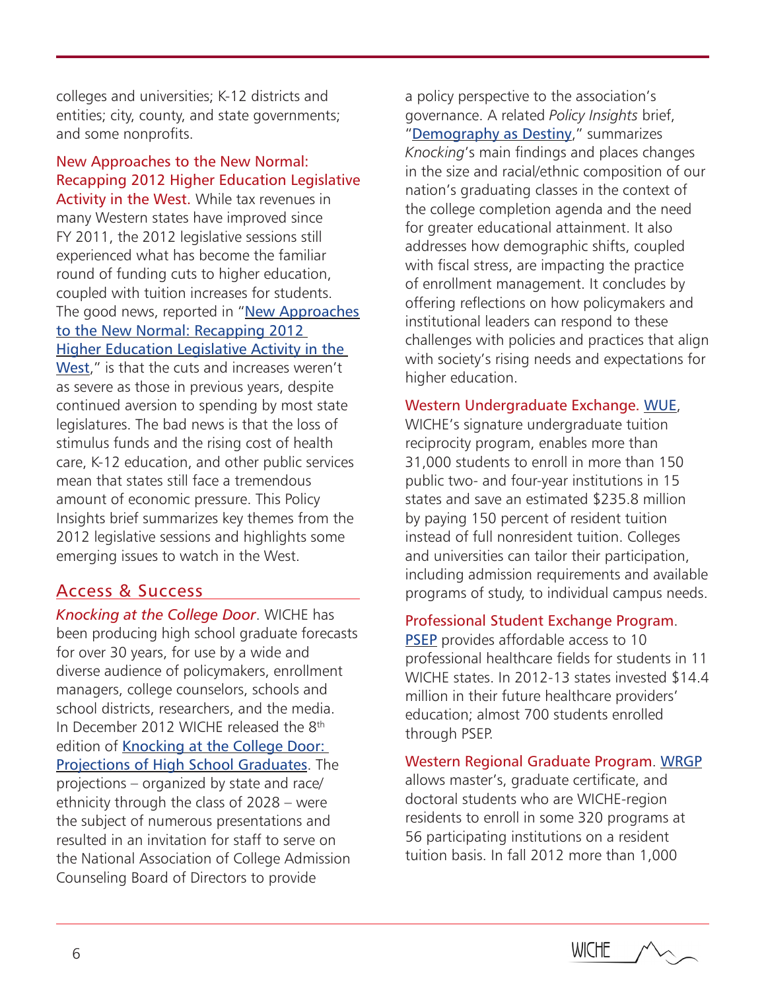colleges and universities; K-12 districts and entities; city, county, and state governments; and some nonprofits.

New Approaches to the New Normal: Recapping 2012 Higher Education Legislative Activity in the West. While tax revenues in many Western states have improved since FY 2011, the 2012 legislative sessions still experienced what has become the familiar round of funding cuts to higher education, coupled with tuition increases for students. The good news, reported in "New Approaches [to the New Normal: Recapping 2012](http://www.wiche.edu/pub/16458)  [Higher Education Legislative Activity in the](http://www.wiche.edu/pub/16458)  [West](http://www.wiche.edu/pub/16458)," is that the cuts and increases weren't as severe as those in previous years, despite continued aversion to spending by most state legislatures. The bad news is that the loss of stimulus funds and the rising cost of health care, K-12 education, and other public services mean that states still face a tremendous amount of economic pressure. This Policy Insights brief summarizes key themes from the 2012 legislative sessions and highlights some emerging issues to watch in the West.

## Access & Success

*Knocking at the College Door*. WICHE has been producing high school graduate forecasts for over 30 years, for use by a wide and diverse audience of policymakers, enrollment managers, college counselors, schools and school districts, researchers, and the media. In December 2012 WICHE released the 8<sup>th</sup> edition of Knocking at the College Door: [Projections of High School Graduates](http://www.wiche.edu/knocking-8th). The projections – organized by state and race/ ethnicity through the class of 2028 – were the subject of numerous presentations and resulted in an invitation for staff to serve on the National Association of College Admission Counseling Board of Directors to provide

a policy perspective to the association's governance. A related *Policy Insights* brief, "[Demography as Destiny](http://www.wiche.edu/info/publications/PI-knocking2013.pdf)," summarizes *Knocking*'s main findings and places changes in the size and racial/ethnic composition of our nation's graduating classes in the context of the college completion agenda and the need for greater educational attainment. It also addresses how demographic shifts, coupled with fiscal stress, are impacting the practice of enrollment management. It concludes by offering reflections on how policymakers and institutional leaders can respond to these challenges with policies and practices that align with society's rising needs and expectations for higher education.

### Western Undergraduate Exchange. [WUE](http://www.wiche.edu/wue),

WICHE's signature undergraduate tuition reciprocity program, enables more than 31,000 students to enroll in more than 150 public two- and four-year institutions in 15 states and save an estimated \$235.8 million by paying 150 percent of resident tuition instead of full nonresident tuition. Colleges and universities can tailor their participation, including admission requirements and available programs of study, to individual campus needs.

### Professional Student Exchange Program.

[PSEP](http://www.wiche.edu/psep) provides affordable access to 10 professional healthcare fields for students in 11 WICHE states. In 2012-13 states invested \$14.4 million in their future healthcare providers' education; almost 700 students enrolled through PSEP.

### Western Regional Graduate Program. [WRGP](http://www.wiche.edu/wrgp)

allows master's, graduate certificate, and doctoral students who are WICHE-region residents to enroll in some 320 programs at 56 participating institutions on a resident tuition basis. In fall 2012 more than 1,000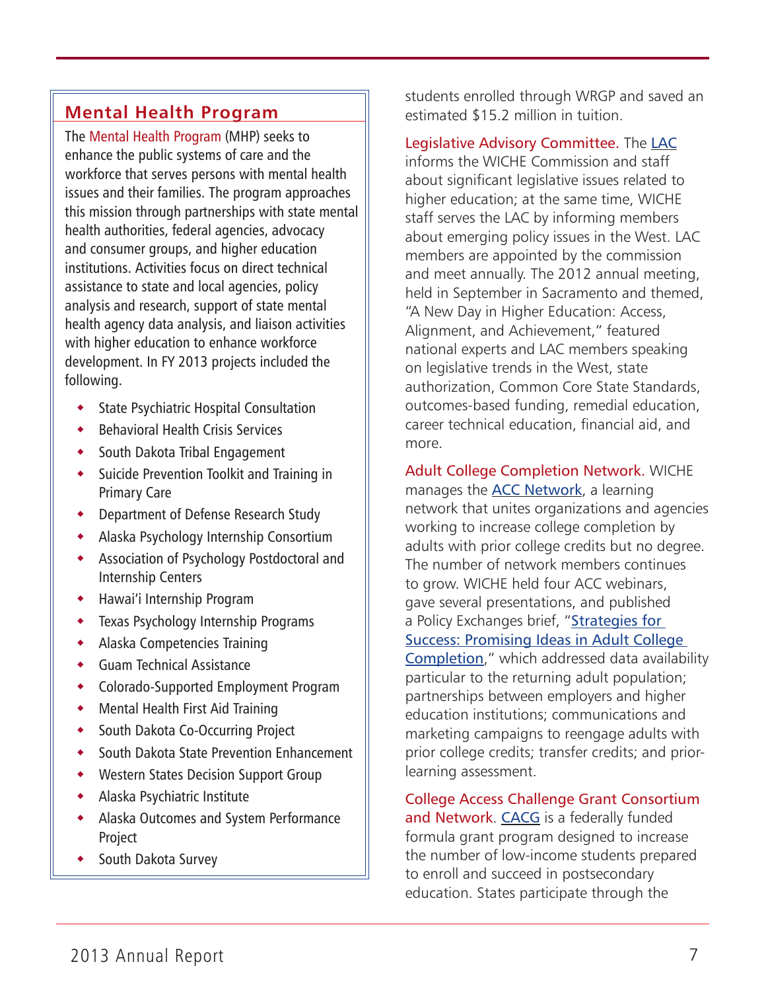# **Mental Health Program**

The Mental Health Program (MHP) seeks to enhance the public systems of care and the workforce that serves persons with mental health issues and their families. The program approaches this mission through partnerships with state mental health authorities, federal agencies, advocacy and consumer groups, and higher education institutions. Activities focus on direct technical assistance to state and local agencies, policy analysis and research, support of state mental health agency data analysis, and liaison activities with higher education to enhance workforce development. In FY 2013 projects included the following.

- State Psychiatric Hospital Consultation
- Behavioral Health Crisis Services
- ◆ South Dakota Tribal Engagement
- Suicide Prevention Toolkit and Training in Primary Care
- Department of Defense Research Study
- Alaska Psychology Internship Consortium
- Association of Psychology Postdoctoral and Internship Centers
- Hawai'i Internship Program
- Texas Psychology Internship Programs
- Alaska Competencies Training
- Guam Technical Assistance
- Colorado-Supported Employment Program
- Mental Health First Aid Training
- South Dakota Co-Occurring Project
- South Dakota State Prevention Enhancement
- Western States Decision Support Group
- Alaska Psychiatric Institute
- Alaska Outcomes and System Performance Project
- South Dakota Survey

students enrolled through WRGP and saved an estimated \$15.2 million in tuition.

Legislative Advisory Committee. The [LAC](http://www.wiche.edu/lac)

informs the WICHE Commission and staff about significant legislative issues related to higher education; at the same time, WICHE staff serves the LAC by informing members about emerging policy issues in the West. LAC members are appointed by the commission and meet annually. The 2012 annual meeting, held in September in Sacramento and themed, "A New Day in Higher Education: Access, Alignment, and Achievement," featured national experts and LAC members speaking on legislative trends in the West, state authorization, Common Core State Standards, outcomes-based funding, remedial education, career technical education, financial aid, and more.

Adult College Completion Network. WICHE manages the [ACC Network](http://adultcollegecompletion.org/), a learning network that unites organizations and agencies working to increase college completion by adults with prior college credits but no degree. The number of network members continues to grow. WICHE held four ACC webinars, gave several presentations, and published a Policy Exchanges brief, "Strategies for [Success: Promising Ideas in Adult College](http://www.wiche.edu/pub/accn-strategies-for-success)  [Completion](http://www.wiche.edu/pub/accn-strategies-for-success)," which addressed data availability particular to the returning adult population; partnerships between employers and higher education institutions; communications and marketing campaigns to reengage adults with prior college credits; transfer credits; and priorlearning assessment.

College Access Challenge Grant Consortium and Network. [CACG](http://www.wiche.edu/cacg) is a federally funded formula grant program designed to increase the number of low-income students prepared to enroll and succeed in postsecondary education. States participate through the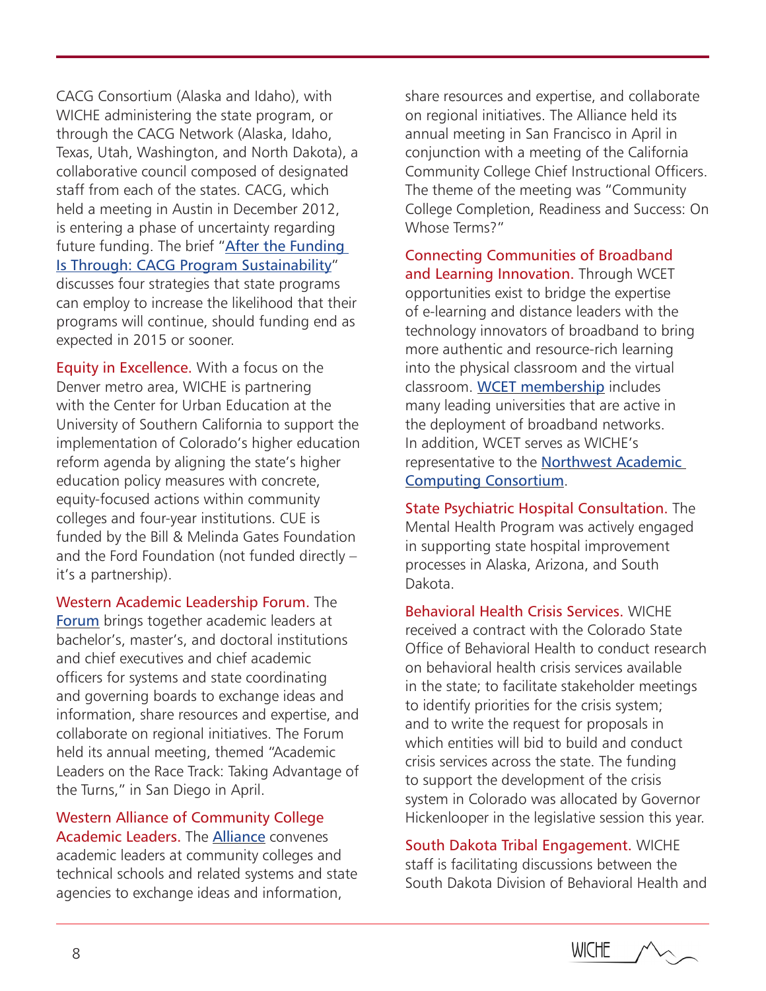CACG Consortium (Alaska and Idaho), with WICHE administering the state program, or through the CACG Network (Alaska, Idaho, Texas, Utah, Washington, and North Dakota), a collaborative council composed of designated staff from each of the states. CACG, which held a meeting in Austin in December 2012, is entering a phase of uncertainty regarding future funding. The brief "[After the Funding](http://www.wiche.edu/pub/16711)  [Is Through: CACG Program Sustainability](http://www.wiche.edu/pub/16711)" discusses four strategies that state programs can employ to increase the likelihood that their programs will continue, should funding end as expected in 2015 or sooner.

Equity in Excellence. With a focus on the Denver metro area, WICHE is partnering with the Center for Urban Education at the University of Southern California to support the implementation of Colorado's higher education reform agenda by aligning the state's higher education policy measures with concrete, equity-focused actions within community colleges and four-year institutions. CUE is funded by the Bill & Melinda Gates Foundation and the Ford Foundation (not funded directly – it's a partnership).

Western Academic Leadership Forum. The [Forum](http://www.wiche.edu/forum) brings together academic leaders at bachelor's, master's, and doctoral institutions and chief executives and chief academic officers for systems and state coordinating and governing boards to exchange ideas and information, share resources and expertise, and collaborate on regional initiatives. The Forum held its annual meeting, themed "Academic Leaders on the Race Track: Taking Advantage of the Turns," in San Diego in April.

Western Alliance of Community College Academic Leaders. The [Alliance](http://www.wiche.edu/alliance) convenes academic leaders at community colleges and technical schools and related systems and state agencies to exchange ideas and information,

share resources and expertise, and collaborate on regional initiatives. The Alliance held its annual meeting in San Francisco in April in conjunction with a meeting of the California Community College Chief Instructional Officers. The theme of the meeting was "Community College Completion, Readiness and Success: On Whose Terms?"

Connecting Communities of Broadband and Learning Innovation. Through WCET opportunities exist to bridge the expertise of e-learning and distance leaders with the technology innovators of broadband to bring more authentic and resource-rich learning into the physical classroom and the virtual classroom. [WCET membership](http://wcet.wiche.edu/contact-us/join-wcet) includes many leading universities that are active in the deployment of broadband networks. In addition, WCET serves as WICHE's representative to the [Northwest Academic](http://www.nwacc.org)  [Computing Consortium](http://www.nwacc.org).

State Psychiatric Hospital Consultation. The Mental Health Program was actively engaged in supporting state hospital improvement processes in Alaska, Arizona, and South Dakota.

Behavioral Health Crisis Services. WICHE received a contract with the Colorado State Office of Behavioral Health to conduct research on behavioral health crisis services available in the state; to facilitate stakeholder meetings to identify priorities for the crisis system; and to write the request for proposals in which entities will bid to build and conduct crisis services across the state. The funding to support the development of the crisis system in Colorado was allocated by Governor Hickenlooper in the legislative session this year.

South Dakota Tribal Engagement. WICHE staff is facilitating discussions between the South Dakota Division of Behavioral Health and

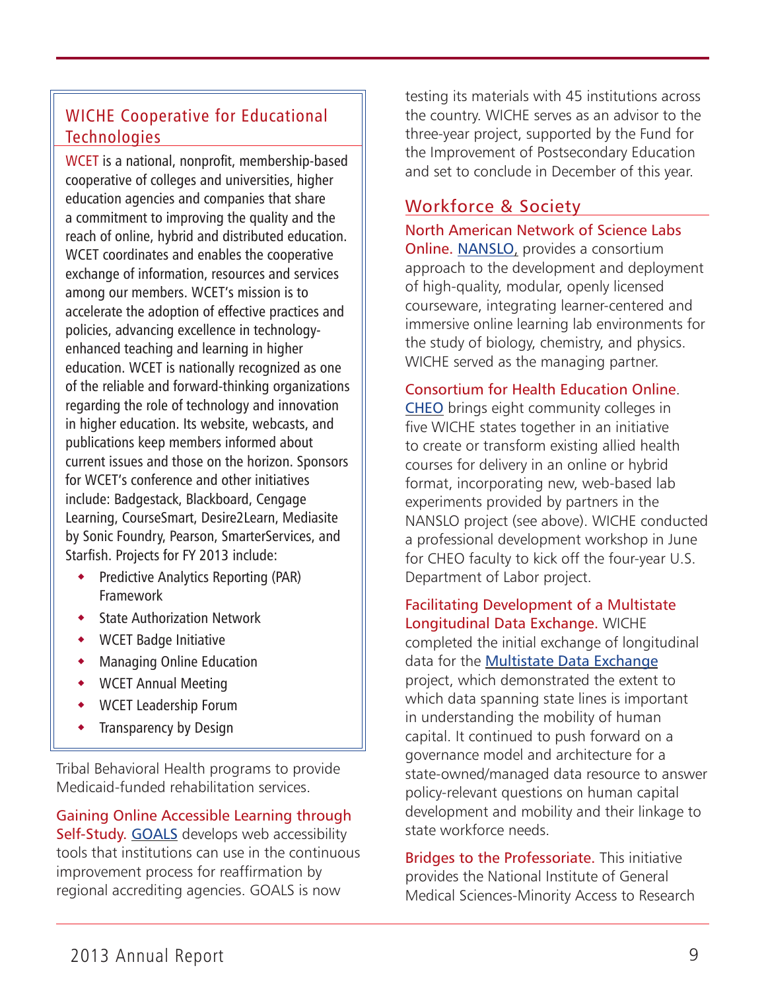# WICHE Cooperative for Educational **Technologies**

WCET is a national, nonprofit, membership-based cooperative of colleges and universities, higher education agencies and companies that share a commitment to improving the quality and the reach of online, hybrid and distributed education. WCET coordinates and enables the cooperative exchange of information, resources and services among our members. WCET's mission is to accelerate the adoption of effective practices and policies, advancing excellence in technologyenhanced teaching and learning in higher education. WCET is nationally recognized as one of the reliable and forward-thinking organizations regarding the role of technology and innovation in higher education. Its website, webcasts, and publications keep members informed about current issues and those on the horizon. Sponsors for WCET's conference and other initiatives include: Badgestack, Blackboard, Cengage Learning, CourseSmart, Desire2Learn, Mediasite by Sonic Foundry, Pearson, SmarterServices, and Starfish. Projects for FY 2013 include:

- **•** Predictive Analytics Reporting (PAR) Framework
- State Authorization Network
- WCET Badge Initiative
- Managing Online Education
- WCET Annual Meeting
- WCET Leadership Forum
- Transparency by Design

Tribal Behavioral Health programs to provide Medicaid-funded rehabilitation services.

Gaining Online Accessible Learning through Self-Study. [GOALS](http://www.wiche.edu/goals) develops web accessibility tools that institutions can use in the continuous improvement process for reaffirmation by regional accrediting agencies. GOALS is now

testing its materials with 45 institutions across the country. WICHE serves as an advisor to the three-year project, supported by the Fund for the Improvement of Postsecondary Education and set to conclude in December of this year.

# Workforce & Society

North American Network of Science Labs Online. [NANSLO](http://www.wiche.edu/nanslo), provides a consortium approach to the development and deployment of high-quality, modular, openly licensed courseware, integrating learner-centered and immersive online learning lab environments for the study of biology, chemistry, and physics. WICHE served as the managing partner.

### Consortium for Health Education Online.

[CHEO](http://wwwtest.wiche.edu/nanslo-new/initiatives-projects/current-initiatives/cheo) brings eight community colleges in five WICHE states together in an initiative to create or transform existing allied health courses for delivery in an online or hybrid format, incorporating new, web-based lab experiments provided by partners in the NANSLO project (see above). WICHE conducted a professional development workshop in June for CHEO faculty to kick off the four-year U.S. Department of Labor project.

Facilitating Development of a Multistate Longitudinal Data Exchange. WICHE completed the initial exchange of longitudinal data for the [Multistate Data Exchange](http://www.wiche.edu/nanslo) project, which demonstrated the extent to which data spanning state lines is important in understanding the mobility of human capital. It continued to push forward on a governance model and architecture for a state-owned/managed data resource to answer policy-relevant questions on human capital development and mobility and their linkage to state workforce needs.

Bridges to the Professoriate. This initiative provides the National Institute of General Medical Sciences-Minority Access to Research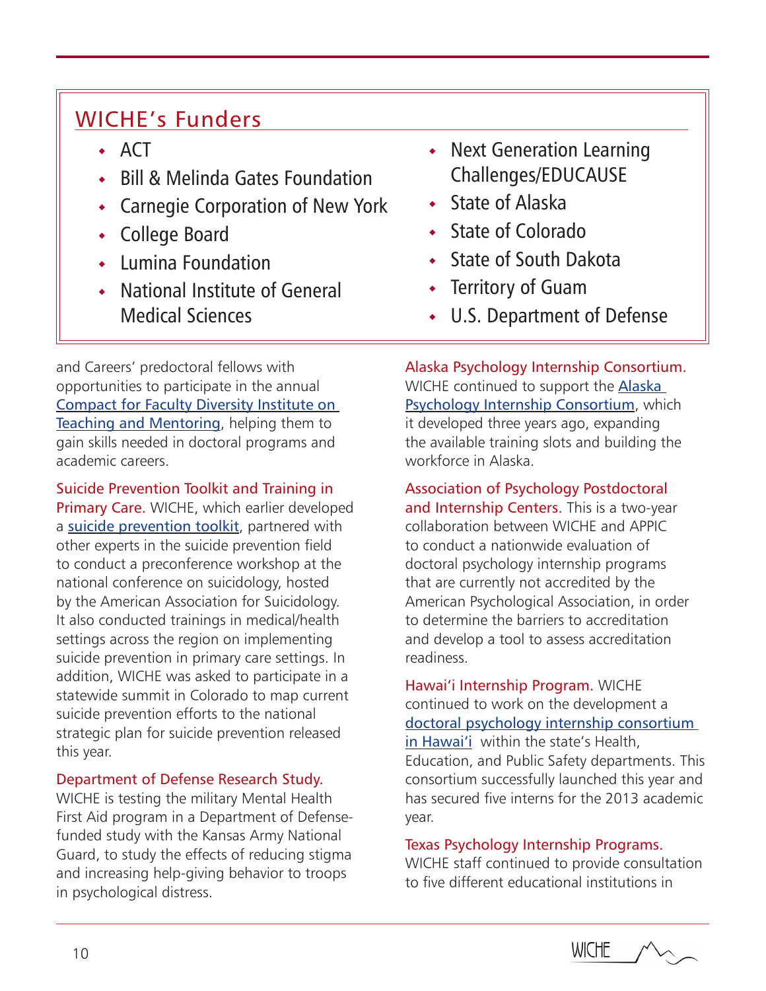# WICHE's Funders

- $\overline{A}$ CT
- Bill & Melinda Gates Foundation
- Carnegie Corporation of New York
- College Board
- Lumina Foundation
- National Institute of General Medical Sciences
- and Careers' predoctoral fellows with opportunities to participate in the annual [Compact for Faculty Diversity Institute on](http://www.instituteonteachingandmentoring.org/Compact/)  [Teaching and Mentoring](http://www.instituteonteachingandmentoring.org/Compact/), helping them to gain skills needed in doctoral programs and academic careers.

Suicide Prevention Toolkit and Training in Primary Care. WICHE, which earlier developed a [suicide prevention toolkit](http://www.wiche.edu/suicidePreventionToolkits), partnered with other experts in the suicide prevention field to conduct a preconference workshop at the national conference on suicidology, hosted by the American Association for Suicidology. It also conducted trainings in medical/health settings across the region on implementing suicide prevention in primary care settings. In addition, WICHE was asked to participate in a statewide summit in Colorado to map current suicide prevention efforts to the national strategic plan for suicide prevention released this year.

Department of Defense Research Study.

WICHE is testing the military Mental Health First Aid program in a Department of Defensefunded study with the Kansas Army National Guard, to study the effects of reducing stigma and increasing help-giving behavior to troops in psychological distress.

- Next Generation Learning Challenges/EDUCAUSE
- State of Alaska
- State of Colorado
- State of South Dakota
- Territory of Guam
- U.S. Department of Defense

Alaska Psychology Internship Consortium. WICHE continued to support the [Alaska](http://www.wiche.edu/node/11325)  [Psychology Internship Consortium](http://www.wiche.edu/node/11325), which it developed three years ago, expanding the available training slots and building the workforce in Alaska.

Association of Psychology Postdoctoral and Internship Centers. This is a two-year collaboration between WICHE and APPIC to conduct a nationwide evaluation of doctoral psychology internship programs that are currently not accredited by the American Psychological Association, in order to determine the barriers to accreditation and develop a tool to assess accreditation readiness.

Hawai'i Internship Program. WICHE continued to work on the development a [doctoral psychology internship consortium](http://www.wiche.edu/node/15629) [in Hawai'i](http://www.wiche.edu/node/15629) within the state's Health, Education, and Public Safety departments. This consortium successfully launched this year and has secured five interns for the 2013 academic year.

### Texas Psychology Internship Programs.

WICHE staff continued to provide consultation to five different educational institutions in

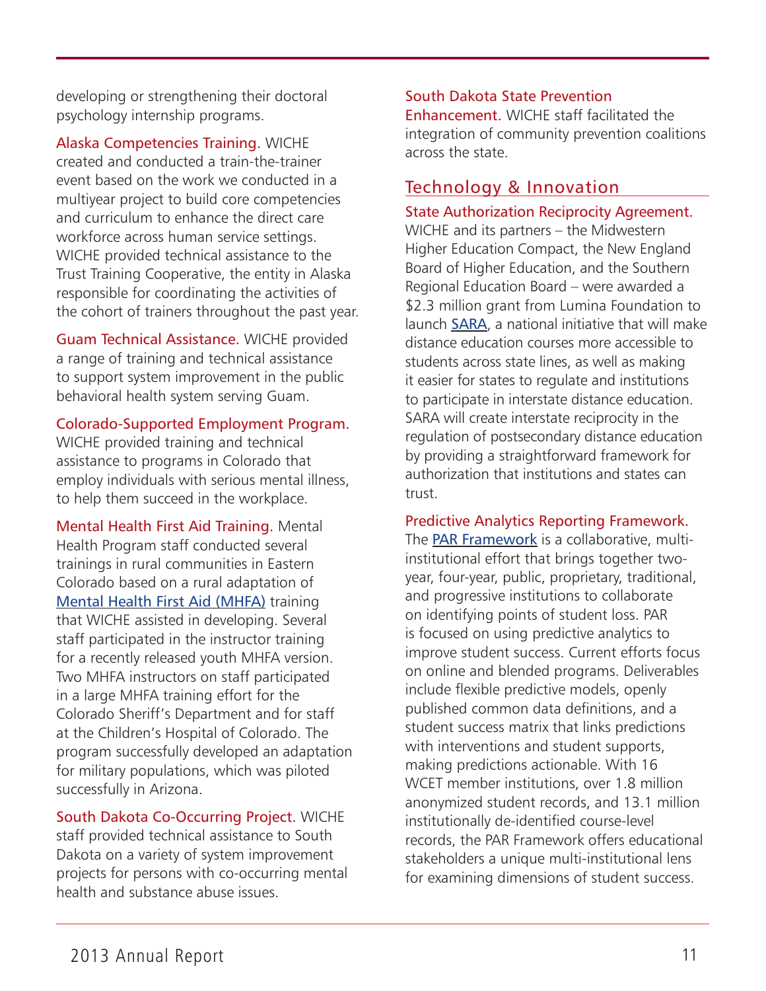developing or strengthening their doctoral psychology internship programs.

Alaska Competencies Training. WICHE created and conducted a train-the-trainer event based on the work we conducted in a multiyear project to build core competencies and curriculum to enhance the direct care workforce across human service settings. WICHE provided technical assistance to the Trust Training Cooperative, the entity in Alaska responsible for coordinating the activities of the cohort of trainers throughout the past year.

Guam Technical Assistance. WICHE provided a range of training and technical assistance to support system improvement in the public behavioral health system serving Guam.

Colorado-Supported Employment Program.

WICHE provided training and technical assistance to programs in Colorado that employ individuals with serious mental illness, to help them succeed in the workplace.

Mental Health First Aid Training. Mental Health Program staff conducted several trainings in rural communities in Eastern Colorado based on a rural adaptation of [Mental Health First Aid \(MHFA\)](http://www.wiche.edu/bhTraining ) training that WICHE assisted in developing. Several staff participated in the instructor training for a recently released youth MHFA version. Two MHFA instructors on staff participated in a large MHFA training effort for the Colorado Sheriff's Department and for staff at the Children's Hospital of Colorado. The program successfully developed an adaptation for military populations, which was piloted successfully in Arizona.

South Dakota Co-Occurring Project. WICHE staff provided technical assistance to South Dakota on a variety of system improvement projects for persons with co-occurring mental health and substance abuse issues.

### South Dakota State Prevention

Enhancement. WICHE staff facilitated the integration of community prevention coalitions across the state.

# Technology & Innovation

### State Authorization Reciprocity Agreement.

WICHE and its partners – the Midwestern Higher Education Compact, the New England Board of Higher Education, and the Southern Regional Education Board – were awarded a \$2.3 million grant from Lumina Foundation to launch [SARA](http://www.wiche.edu/news/release/16788), a national initiative that will make distance education courses more accessible to students across state lines, as well as making it easier for states to regulate and institutions to participate in interstate distance education. SARA will create interstate reciprocity in the regulation of postsecondary distance education by providing a straightforward framework for authorization that institutions and states can trust.

Predictive Analytics Reporting Framework.

The **[PAR Framework](http://www.wcet.wiche.edu/par)** is a collaborative, multiinstitutional effort that brings together twoyear, four-year, public, proprietary, traditional, and progressive institutions to collaborate on identifying points of student loss. PAR is focused on using predictive analytics to improve student success. Current efforts focus on online and blended programs. Deliverables include flexible predictive models, openly published common data definitions, and a student success matrix that links predictions with interventions and student supports, making predictions actionable. With 16 WCET member institutions, over 1.8 million anonymized student records, and 13.1 million institutionally de-identified course-level records, the PAR Framework offers educational stakeholders a unique multi-institutional lens for examining dimensions of student success.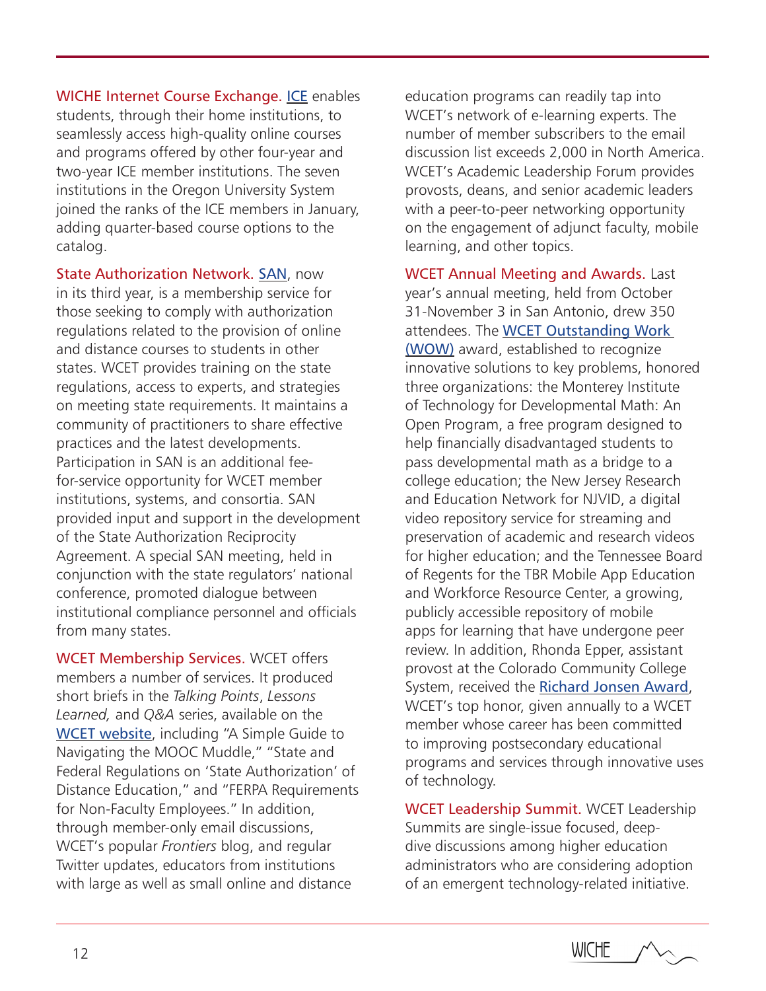WICHE Internet Course Exchange. [ICE](http://www.wiche.edu/ice) enables students, through their home institutions, to seamlessly access high-quality online courses and programs offered by other four-year and two-year ICE member institutions. The seven institutions in the Oregon University System joined the ranks of the ICE members in January, adding quarter-based course options to the catalog.

State Authorization Network. [SAN](http://wcet.wiche.edu/advance/state-authorization-network), now in its third year, is a membership service for those seeking to comply with authorization regulations related to the provision of online and distance courses to students in other states. WCET provides training on the state regulations, access to experts, and strategies on meeting state requirements. It maintains a community of practitioners to share effective practices and the latest developments. Participation in SAN is an additional feefor-service opportunity for WCET member institutions, systems, and consortia. SAN provided input and support in the development of the State Authorization Reciprocity Agreement. A special SAN meeting, held in conjunction with the state regulators' national conference, promoted dialogue between institutional compliance personnel and officials from many states.

WCET Membership Services. WCET offers members a number of services. It produced short briefs in the *Talking Points*, *Lessons Learned,* and *Q&A* series, available on the [WCET website](http://wcet.wiche.edu), including "A Simple Guide to Navigating the MOOC Muddle," "State and Federal Regulations on 'State Authorization' of Distance Education," and "FERPA Requirements for Non-Faculty Employees." In addition, through member-only email discussions, WCET's popular *Frontiers* blog, and regular Twitter updates, educators from institutions with large as well as small online and distance

education programs can readily tap into WCET's network of e-learning experts. The number of member subscribers to the email discussion list exceeds 2,000 in North America. WCET's Academic Leadership Forum provides provosts, deans, and senior academic leaders with a peer-to-peer networking opportunity on the engagement of adjunct faculty, mobile learning, and other topics.

WCET Annual Meeting and Awards. Last year's annual meeting, held from October 31-November 3 in San Antonio, drew 350 attendees. The [WCET Outstanding Work](http://wcet.wiche.edu/advance/wcet-awards)  [\(WOW\)](http://wcet.wiche.edu/advance/wcet-awards) award, established to recognize innovative solutions to key problems, honored three organizations: the Monterey Institute of Technology for Developmental Math: An Open Program, a free program designed to help financially disadvantaged students to pass developmental math as a bridge to a college education; the New Jersey Research and Education Network for NJVID, a digital video repository service for streaming and preservation of academic and research videos for higher education; and the Tennessee Board of Regents for the TBR Mobile App Education and Workforce Resource Center, a growing, publicly accessible repository of mobile apps for learning that have undergone peer review. In addition, Rhonda Epper, assistant provost at the Colorado Community College System, received the [Richard Jonsen Award](http://wcet.wiche.edu/advance/wcet-awards), WCET's top honor, given annually to a WCET member whose career has been committed to improving postsecondary educational programs and services through innovative uses of technology.

WCET Leadership Summit. WCET Leadership Summits are single-issue focused, deepdive discussions among higher education administrators who are considering adoption of an emergent technology-related initiative.

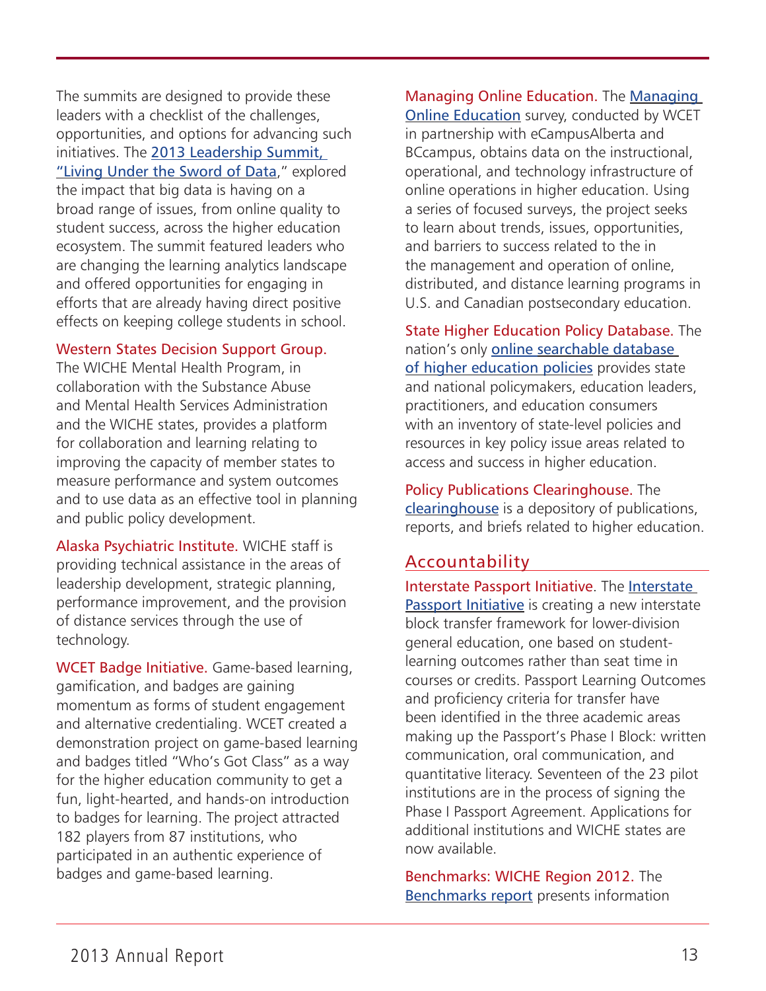The summits are designed to provide these leaders with a checklist of the challenges, opportunities, and options for advancing such initiatives. The [2013 Leadership Summit,](http://wcet.wiche.edu/connect/2013-data-summit)  ["Living Under the Sword of Data](http://wcet.wiche.edu/connect/2013-data-summit)," explored the impact that big data is having on a broad range of issues, from online quality to student success, across the higher education ecosystem. The summit featured leaders who are changing the learning analytics landscape and offered opportunities for engaging in efforts that are already having direct positive effects on keeping college students in school.

### Western States Decision Support Group.

The WICHE Mental Health Program, in collaboration with the Substance Abuse and Mental Health Services Administration and the WICHE states, provides a platform for collaboration and learning relating to improving the capacity of member states to measure performance and system outcomes and to use data as an effective tool in planning and public policy development.

Alaska Psychiatric Institute. WICHE staff is providing technical assistance in the areas of leadership development, strategic planning, performance improvement, and the provision of distance services through the use of technology.

WCET Badge Initiative. Game-based learning, gamification, and badges are gaining momentum as forms of student engagement and alternative credentialing. WCET created a demonstration project on game-based learning and badges titled "Who's Got Class" as a way for the higher education community to get a fun, light-hearted, and hands-on introduction to badges for learning. The project attracted 182 players from 87 institutions, who participated in an authentic experience of badges and game-based learning.

[Managing](http://wcet.wiche.edu/advance/managing-online-education-survey ) Online Education. The Managing [Online Education](http://wcet.wiche.edu/advance/managing-online-education-survey ) survey, conducted by WCET in partnership with eCampusAlberta and BCcampus, obtains data on the instructional, operational, and technology infrastructure of online operations in higher education. Using a series of focused surveys, the project seeks to learn about trends, issues, opportunities, and barriers to success related to the in the management and operation of online, distributed, and distance learning programs in U.S. and Canadian postsecondary education.

State Higher Education Policy Database. The nation's only [online searchable database](http://higheredpolicies.wiche.edu/content/policy/index)  [of higher education policies](http://higheredpolicies.wiche.edu/content/policy/index) provides state and national policymakers, education leaders, practitioners, and education consumers with an inventory of state-level policies and resources in key policy issue areas related to access and success in higher education.

Policy Publications Clearinghouse. The [clearinghouse](http://higheredpolicies.wiche.edu/content/clearinghouse/index) is a depository of publications, reports, and briefs related to higher education.

### Accountability

Interstate Passport Initiative. The [Interstate](http://www.wiche.edu/passport)  [Passport Initiative](http://www.wiche.edu/passport) is creating a new interstate block transfer framework for lower-division general education, one based on studentlearning outcomes rather than seat time in courses or credits. Passport Learning Outcomes and proficiency criteria for transfer have been identified in the three academic areas making up the Passport's Phase I Block: written communication, oral communication, and quantitative literacy. Seventeen of the 23 pilot institutions are in the process of signing the Phase I Passport Agreement. Applications for additional institutions and WICHE states are now available.

Benchmarks: WICHE Region 2012. The [Benchmarks report](http://www.wiche.edu/pub/16492) presents information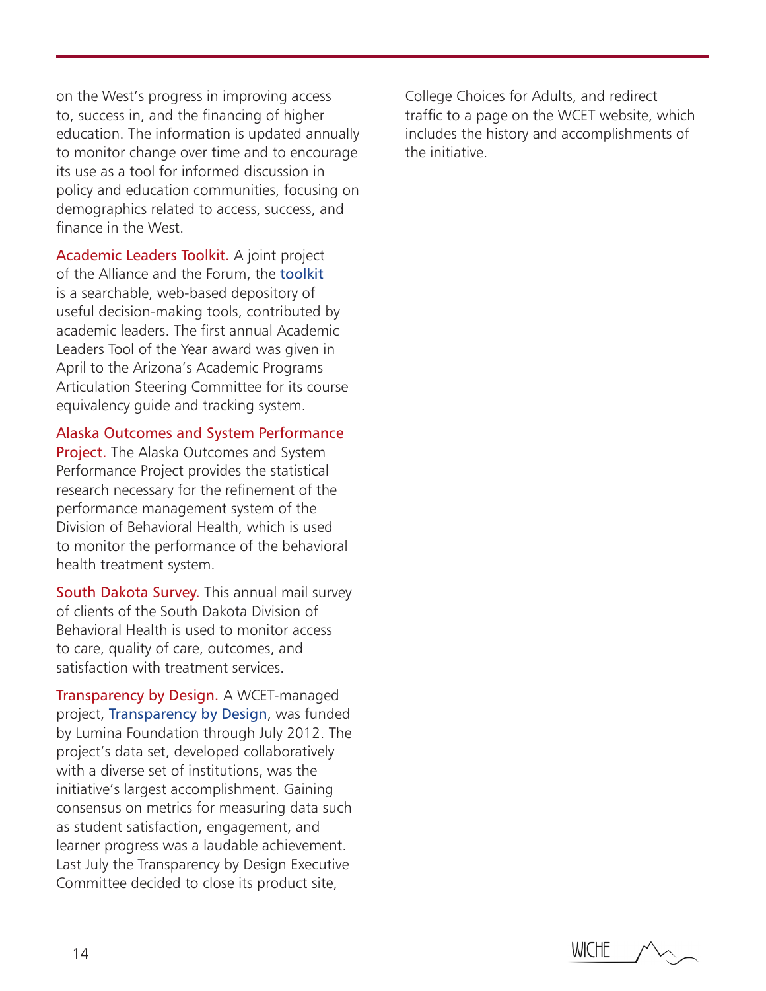on the West's progress in improving access to, success in, and the financing of higher education. The information is updated annually to monitor change over time and to encourage its use as a tool for informed discussion in policy and education communities, focusing on demographics related to access, success, and finance in the West.

Academic Leaders Toolkit. A joint project of the Alliance and the Forum, the [toolkit](http://alt.wiche.edu) is a searchable, web-based depository of useful decision-making tools, contributed by academic leaders. The first annual Academic Leaders Tool of the Year award was given in April to the Arizona's Academic Programs Articulation Steering Committee for its course equivalency guide and tracking system.

Alaska Outcomes and System Performance

Project. The Alaska Outcomes and System Performance Project provides the statistical research necessary for the refinement of the performance management system of the Division of Behavioral Health, which is used to monitor the performance of the behavioral health treatment system.

South Dakota Survey. This annual mail survey of clients of the South Dakota Division of Behavioral Health is used to monitor access to care, quality of care, outcomes, and satisfaction with treatment services.

Transparency by Design. A WCET-managed project, [Transparency by Design](http://www.wcet.wiche.edu/advance/transparency-by-design), was funded by Lumina Foundation through July 2012. The project's data set, developed collaboratively with a diverse set of institutions, was the initiative's largest accomplishment. Gaining consensus on metrics for measuring data such as student satisfaction, engagement, and learner progress was a laudable achievement. Last July the Transparency by Design Executive Committee decided to close its product site,

College Choices for Adults, and redirect traffic to a page on the WCET website, which includes the history and accomplishments of the initiative.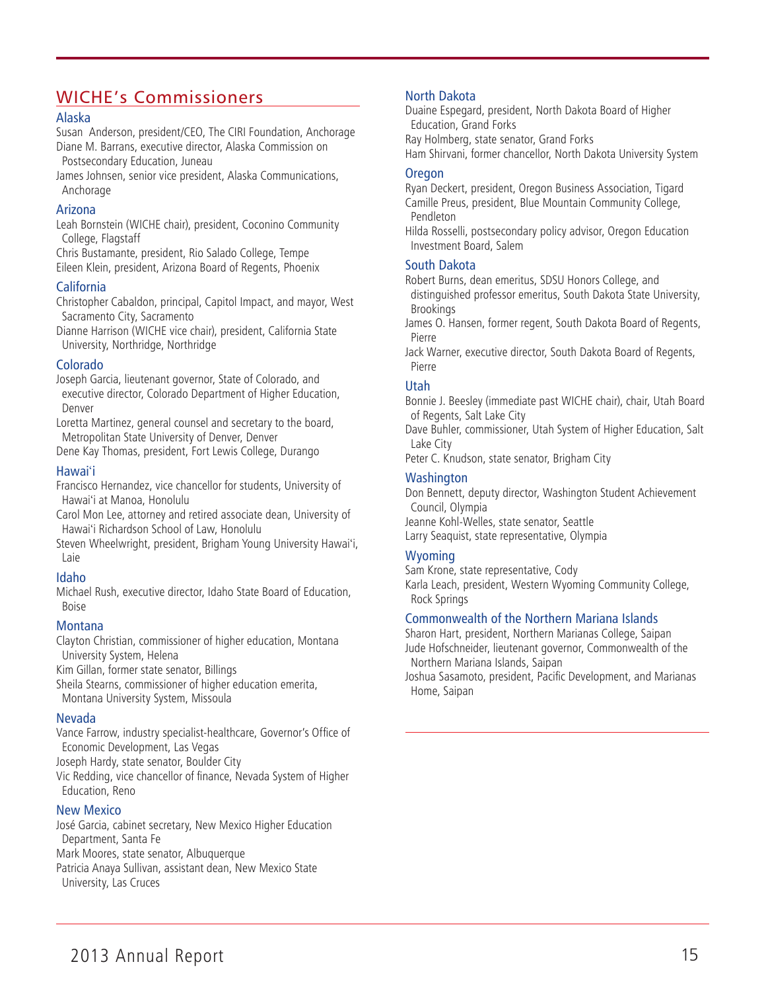# WICHE's Commissioners

#### Alaska

Susan Anderson, president/CEO, The CIRI Foundation, Anchorage Diane M. Barrans, executive director, Alaska Commission on Postsecondary Education, Juneau

James Johnsen, senior vice president, Alaska Communications, Anchorage

#### Arizona

Leah Bornstein (WICHE chair), president, Coconino Community College, Flagstaff

Chris Bustamante, president, Rio Salado College, Tempe Eileen Klein, president, Arizona Board of Regents, Phoenix

#### California

Christopher Cabaldon, principal, Capitol Impact, and mayor, West Sacramento City, Sacramento

Dianne Harrison (WICHE vice chair), president, California State University, Northridge, Northridge

#### Colorado

Joseph Garcia, lieutenant governor, State of Colorado, and executive director, Colorado Department of Higher Education, Denver

Loretta Martinez, general counsel and secretary to the board, Metropolitan State University of Denver, Denver

Dene Kay Thomas, president, Fort Lewis College, Durango

#### Hawai'i

Francisco Hernandez, vice chancellor for students, University of Hawai'i at Manoa, Honolulu

Carol Mon Lee, attorney and retired associate dean, University of Hawai'i Richardson School of Law, Honolulu

Steven Wheelwright, president, Brigham Young University Hawai'i, Laie

### Idaho

Michael Rush, executive director, Idaho State Board of Education, Boise

### Montana

Clayton Christian, commissioner of higher education, Montana University System, Helena

Kim Gillan, former state senator, Billings

Sheila Stearns, commissioner of higher education emerita, Montana University System, Missoula

### Nevada

Vance Farrow, industry specialist-healthcare, Governor's Office of Economic Development, Las Vegas

Joseph Hardy, state senator, Boulder City

Vic Redding, vice chancellor of finance, Nevada System of Higher Education, Reno

### New Mexico

José Garcia, cabinet secretary, New Mexico Higher Education Department, Santa Fe Mark Moores, state senator, Albuquerque Patricia Anaya Sullivan, assistant dean, New Mexico State University, Las Cruces

#### North Dakota

Duaine Espegard, president, North Dakota Board of Higher Education, Grand Forks

Ray Holmberg, state senator, Grand Forks

Ham Shirvani, former chancellor, North Dakota University System

#### **Oregon**

Ryan Deckert, president, Oregon Business Association, Tigard Camille Preus, president, Blue Mountain Community College, Pendleton

Hilda Rosselli, postsecondary policy advisor, Oregon Education Investment Board, Salem

#### South Dakota

Robert Burns, dean emeritus, SDSU Honors College, and distinguished professor emeritus, South Dakota State University, Brookings

James O. Hansen, former regent, South Dakota Board of Regents, Pierre

Jack Warner, executive director, South Dakota Board of Regents, Pierre

### Utah

Bonnie J. Beesley (immediate past WICHE chair), chair, Utah Board of Regents, Salt Lake City

Dave Buhler, commissioner, Utah System of Higher Education, Salt Lake City

Peter C. Knudson, state senator, Brigham City

#### **Washington**

Don Bennett, deputy director, Washington Student Achievement Council, Olympia

Jeanne Kohl-Welles, state senator, Seattle

Larry Seaquist, state representative, Olympia

### Wyoming

Sam Krone, state representative, Cody

Karla Leach, president, Western Wyoming Community College, Rock Springs

#### Commonwealth of the Northern Mariana Islands

Sharon Hart, president, Northern Marianas College, Saipan Jude Hofschneider, lieutenant governor, Commonwealth of the Northern Mariana Islands, Saipan

Joshua Sasamoto, president, Pacific Development, and Marianas Home, Saipan